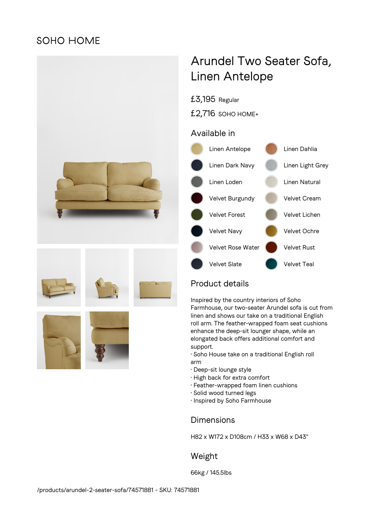# **SOHO HOME**



# Arundel Two Seater Sofa, Linen Antelope

£3,195 Regular

£2,716 SOHO HOME+

# Available in



# Product details

Inspired by the country interiors of Soho Farmhouse, our two-seater Arundel sofa is cut from linen and shows our take on a traditional English roll arm. The feather-wrapped foam seat cushions enhance the deep-sit lounger shape, while an elongated back offers additional comfort and support.

- Soho House take on a traditional English roll arm
- Deep-sit lounge style
- High back for extra comfort
- Feather-wrapped foam linen cushions
- Solid wood turned legs
- Inspired by Soho Farmhouse

# Dimensions

H82 x W172 x D108cm / H33 x W68 x D43"

# Weight

66kg / 145.5lbs